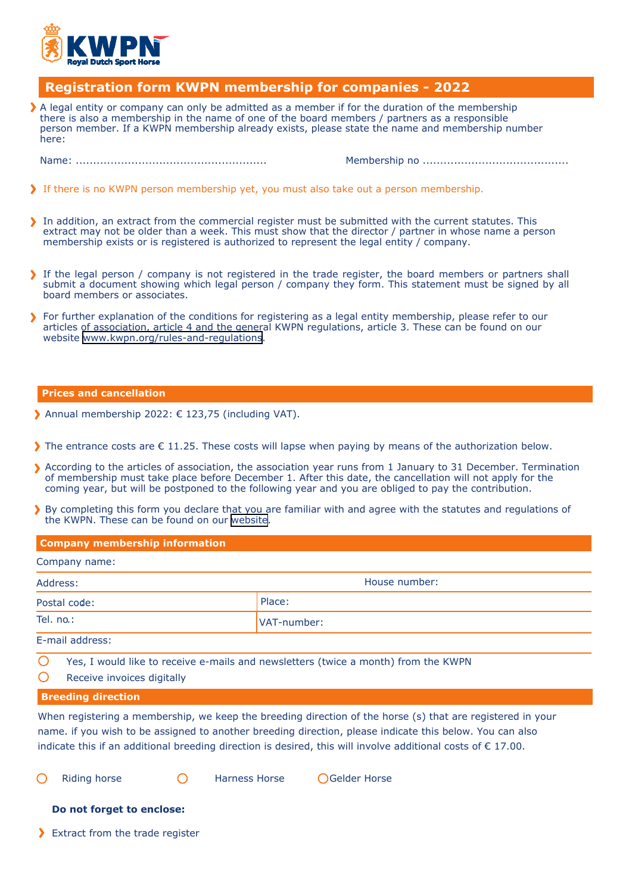

## **Registration form KWPN membership for companies - 2022**

 $\blacktriangleright$  A legal entity or company can only be admitted as a member if for the duration of the membership there is also a membership in the name of one of the board members / partners as a responsible person member. If a KWPN membership already exists, please state the name and membership number here:

Name: ....................................................... Membership no ..........................................

- If there is no KWPN person membership yet, you must also take out a person membership.
- In addition, an extract from the commercial register must be submitted with the current statutes. This extract may not be older than a week. This must show that the director / partner in whose name a person membership exists or is registered is authorized to represent the legal entity / company.
- If the legal person / company is not registered in the trade register, the board members or partners shall submit a document showing which legal person / company they form. This statement must be signed by all board members or associates.
- For further explanation of the conditions for registering as a legal entity membership, please refer to our articles of association, article 4 and the general KWPN regulations, article 3. These can be found on our website [www.kwpn.org/rules-and-regulations](https://www.kwpn.org/about-kwpn/membership/rules-and-regulations).

## **Prices and cancellation**

- Annual membership 2022: € 123,75 (including VAT).
- The entrance costs are  $\epsilon$  11.25. These costs will lapse when paying by means of the authorization below.
- According to the articles of association, the association year runs from 1 January to 31 December. Termination of membership must take place before December 1. After this date, the cancellation will not apply for the coming year, but will be postponed to the following year and you are obliged to pay the contribution.
- By completing this form you declare that you are familiar with and agree with the statutes and regulations of the KWPN. These can be found on our [website](https://www.kwpn.org/about-kwpn/membership/rules-and-regulations).

| <b>Company membership information</b> |               |  |  |
|---------------------------------------|---------------|--|--|
| Company name:                         |               |  |  |
| Address:                              | House number: |  |  |
| Postal code:                          | Place:        |  |  |
| Tel. no.:                             | VAT-number:   |  |  |
| E mail addresser                      |               |  |  |

E-mail address:

- Yes, I would like to receive e-mails and newsletters (twice a month) from the KWPN
- $\bigcirc$ Receive invoices digitally

## **Breeding direction**

When registering a membership, we keep the breeding direction of the horse (s) that are registered in your name. if you wish to be assigned to another breeding direction, please indicate this below. You can also indicate this if an additional breeding direction is desired, this will involve additional costs of € 17.00.

Riding horse **C** Harness Horse **C** Gelder Horse

## **Do not forget to enclose:**

> Extract from the trade register